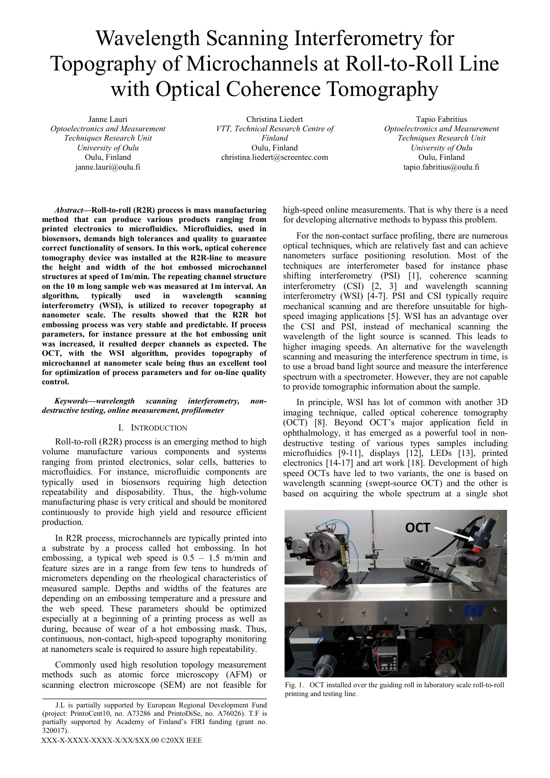# Wavelength Scanning Interferometry for Topography of Microchannels at Roll-to-Roll Line with Optical Coherence Tomography

Janne Lauri *Optoelectronics and Measurement Techniques Research Unit University of Oulu*  Oulu, Finland janne.lauri@oulu.fi

Christina Liedert *VTT, Technical Research Centre of Finland*  Oulu, Finland christina.liedert@screentec.com

Tapio Fabritius *Optoelectronics and Measurement Techniques Research Unit University of Oulu*  Oulu, Finland tapio.fabritius@oulu.fi

*Abstract***—Roll-to-roll (R2R) process is mass manufacturing method that can produce various products ranging from printed electronics to microfluidics. Microfluidics, used in biosensors, demands high tolerances and quality to guarantee correct functionality of sensors. In this work, optical coherence tomography device was installed at the R2R-line to measure the height and width of the hot embossed microchannel structures at speed of 1m/min. The repeating channel structure on the 10 m long sample web was measured at 1m interval. An algorithm, typically used in wavelength scanning interferometry (WSI), is utilized to recover topography at nanometer scale. The results showed that the R2R hot embossing process was very stable and predictable. If process parameters, for instance pressure at the hot embossing unit was increased, it resulted deeper channels as expected. The OCT, with the WSI algorithm, provides topography of microchannel at nanometer scale being thus an excellent tool for optimization of process parameters and for on-line quality control.** 

# *Keywords—wavelength scanning interferometry, nondestructive testing, online measurement, profilometer*

# I. INTRODUCTION

Roll-to-roll (R2R) process is an emerging method to high volume manufacture various components and systems ranging from printed electronics, solar cells, batteries to microfluidics. For instance, microfluidic components are typically used in biosensors requiring high detection repeatability and disposability. Thus, the high-volume manufacturing phase is very critical and should be monitored continuously to provide high yield and resource efficient production.

In R2R process, microchannels are typically printed into a substrate by a process called hot embossing. In hot embossing, a typical web speed is  $0.5 - 1.5$  m/min and feature sizes are in a range from few tens to hundreds of micrometers depending on the rheological characteristics of measured sample. Depths and widths of the features are depending on an embossing temperature and a pressure and the web speed. These parameters should be optimized especially at a beginning of a printing process as well as during, because of wear of a hot embossing mask. Thus, continuous, non-contact, high-speed topography monitoring at nanometers scale is required to assure high repeatability.

Commonly used high resolution topology measurement methods such as atomic force microscopy (AFM) or scanning electron microscope (SEM) are not feasible for

XXX-X-XXXX-XXXX-X/XX/\$XX.00 ©20XX IEEE

high-speed online measurements. That is why there is a need for developing alternative methods to bypass this problem.

For the non-contact surface profiling, there are numerous optical techniques, which are relatively fast and can achieve nanometers surface positioning resolution. Most of the techniques are interferometer based for instance phase shifting interferometry (PSI) [1], coherence scanning interferometry (CSI) [2, 3] and wavelength scanning interferometry (WSI) [4-7]. PSI and CSI typically require mechanical scanning and are therefore unsuitable for highspeed imaging applications [5]. WSI has an advantage over the CSI and PSI, instead of mechanical scanning the wavelength of the light source is scanned. This leads to higher imaging speeds. An alternative for the wavelength scanning and measuring the interference spectrum in time, is to use a broad band light source and measure the interference spectrum with a spectrometer. However, they are not capable to provide tomographic information about the sample.

In principle, WSI has lot of common with another 3D imaging technique, called optical coherence tomography (OCT) [8]. Beyond OCT's major application field in ophthalmology, it has emerged as a powerful tool in nondestructive testing of various types samples including microfluidics [9-11], displays [12], LEDs [13], printed electronics [14-17] and art work [18]. Development of high speed OCTs have led to two variants, the one is based on wavelength scanning (swept-source OCT) and the other is based on acquiring the whole spectrum at a single shot



Fig. 1. OCT installed over the guiding roll in laboratory scale roll-to-roll printing and testing line.

J.L is partially supported by European Regional Development Fund (project: PrintoCent10, no. A73286 and PrintoDiSe, no. A76026). T.F is partially supported by Academy of Finland's FIRI funding (grant no. 320017).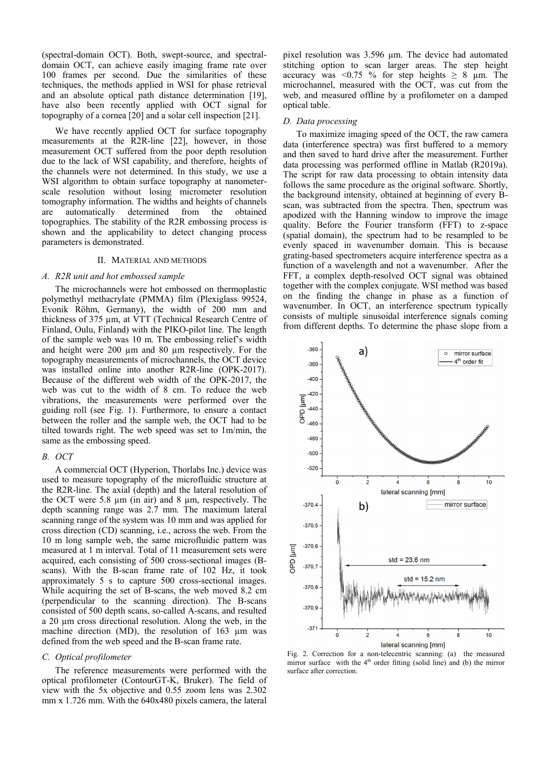(spectral-domain OCT). Both, swept-source, and spectraldomain OCT, can achieve easily imaging frame rate over 100 frames per second. Due the similarities of these techniques, the methods applied in WSI for phase retrieval and an absolute optical path distance determination [19], have also been recently applied with OCT signal for topography of a cornea [20] and a solar cell inspection [21].

We have recently applied OCT for surface topography measurements at the R2R-line [22], however, in those measurement OCT suffered from the poor depth resolution due to the lack of WSI capability, and therefore, heights of the channels were not determined. In this study, we use a WSI algorithm to obtain surface topography at nanometerscale resolution without losing micrometer resolution tomography information. The widths and heights of channels are automatically determined from the obtained topographies. The stability of the R2R embossing process is shown and the applicability to detect changing process parameters is demonstrated.

# II. MATERIAL AND METHODS

## *A. R2R unit and hot embossed sample*

The microchannels were hot embossed on thermoplastic polymethyl methacrylate (PMMA) film (Plexiglass 99524, Evonik Röhm, Germany), the width of 200 mm and thickness of 375 µm, at VTT (Technical Research Centre of Finland, Oulu, Finland) with the PIKO-pilot line. The length of the sample web was 10 m. The embossing relief's width and height were 200 µm and 80 µm respectively. For the topography measurements of microchannels, the OCT device was installed online into another R2R-line (OPK-2017). Because of the different web width of the OPK-2017, the web was cut to the width of 8 cm. To reduce the web vibrations, the measurements were performed over the guiding roll (see Fig. 1). Furthermore, to ensure a contact between the roller and the sample web, the OCT had to be tilted towards right. The web speed was set to 1m/min, the same as the embossing speed.

#### *B. OCT*

A commercial OCT (Hyperion, Thorlabs Inc.) device was used to measure topography of the microfluidic structure at the R2R-line. The axial (depth) and the lateral resolution of the OCT were 5.8  $\mu$ m (in air) and 8  $\mu$ m, respectively. The depth scanning range was 2.7 mm. The maximum lateral scanning range of the system was 10 mm and was applied for cross direction (CD) scanning, i.e., across the web. From the 10 m long sample web, the same microfluidic pattern was measured at 1 m interval. Total of 11 measurement sets were acquired, each consisting of 500 cross-sectional images (Bscans). With the B-scan frame rate of 102 Hz, it took approximately 5 s to capture 500 cross-sectional images. While acquiring the set of B-scans, the web moved 8.2 cm (perpendicular to the scanning direction). The B-scans consisted of 500 depth scans, so-called A-scans, and resulted a 20  $\mu$ m cross directional resolution. Along the web, in the machine direction (MD), the resolution of 163 µm was defined from the web speed and the B-scan frame rate.

#### *C. Optical profilometer*

The reference measurements were performed with the optical profilometer (ContourGT-K, Bruker). The field of view with the 5x objective and 0.55 zoom lens was 2.302 mm x 1.726 mm. With the 640x480 pixels camera, the lateral

pixel resolution was 3.596 µm. The device had automated stitching option to scan larger areas. The step height accuracy was <0.75 % for step heights  $\geq 8$  µm. The microchannel, measured with the OCT, was cut from the web, and measured offline by a profilometer on a damped optical table.

#### *D. Data processing*

To maximize imaging speed of the OCT, the raw camera data (interference spectra) was first buffered to a memory and then saved to hard drive after the measurement. Further data processing was performed offline in Matlab (R2019a). The script for raw data processing to obtain intensity data follows the same procedure as the original software. Shortly, the background intensity, obtained at beginning of every Bscan, was subtracted from the spectra. Then, spectrum was apodized with the Hanning window to improve the image quality. Before the Fourier transform (FFT) to z-space (spatial domain), the spectrum had to be resampled to be evenly spaced in wavenumber domain. This is because grating-based spectrometers acquire interference spectra as a function of a wavelength and not a wavenumber. After the FFT, a complex depth-resolved OCT signal was obtained together with the complex conjugate. WSI method was based on the finding the change in phase as a function of wavenumber. In OCT, an interference spectrum typically consists of multiple sinusoidal interference signals coming from different depths. To determine the phase slope from a



Fig. 2. Correction for a non-telecentric scanning: (a) the measured mirror surface with the  $4<sup>th</sup>$  order fitting (solid line) and (b) the mirror surface after correction.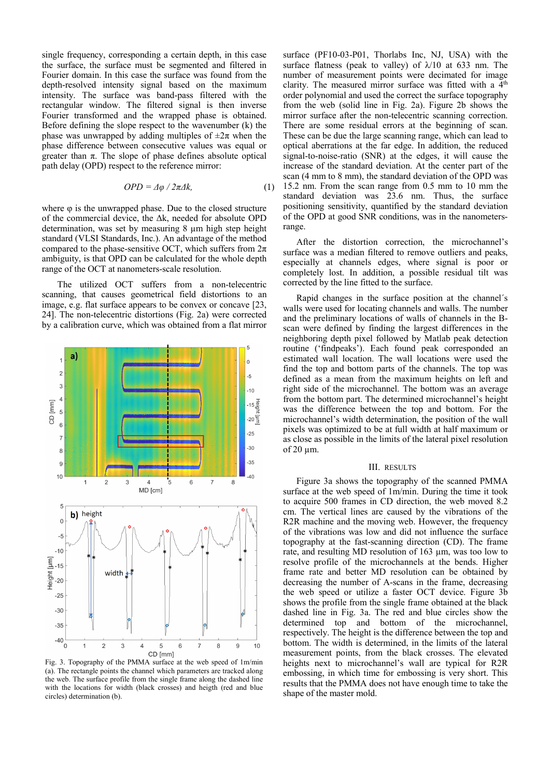single frequency, corresponding a certain depth, in this case the surface, the surface must be segmented and filtered in Fourier domain. In this case the surface was found from the depth-resolved intensity signal based on the maximum intensity. The surface was band-pass filtered with the rectangular window. The filtered signal is then inverse Fourier transformed and the wrapped phase is obtained. Before defining the slope respect to the wavenumber (k) the phase was unwrapped by adding multiples of  $\pm 2\pi$  when the phase difference between consecutive values was equal or greater than π. The slope of phase defines absolute optical path delay (OPD) respect to the reference mirror:

$$
OPD = \Delta \varphi / 2\pi \Delta k, \qquad (1)
$$

where  $\varphi$  is the unwrapped phase. Due to the closed structure of the commercial device, the Δk, needed for absolute OPD determination, was set by measuring 8 µm high step height standard (VLSI Standards, Inc.). An advantage of the method compared to the phase-sensitive OCT, which suffers from  $2\pi$ ambiguity, is that OPD can be calculated for the whole depth range of the OCT at nanometers-scale resolution.

 The utilized OCT suffers from a non-telecentric scanning, that causes geometrical field distortions to an image, e.g. flat surface appears to be convex or concave [23, 24]. The non-telecentric distortions (Fig. 2a) were corrected by a calibration curve, which was obtained from a flat mirror



Fig. 3. Topography of the PMMA surface at the web speed of 1m/min (a). The rectangle points the channel which parameters are tracked along the web. The surface profile from the single frame along the dashed line with the locations for width (black crosses) and heigth (red and blue circles) determination (b).

surface (PF10-03-P01, Thorlabs Inc, NJ, USA) with the surface flatness (peak to valley) of  $\lambda$ 10 at 633 nm. The number of measurement points were decimated for image clarity. The measured mirror surface was fitted with a  $4<sup>th</sup>$ order polynomial and used the correct the surface topography from the web (solid line in Fig. 2a). Figure 2b shows the mirror surface after the non-telecentric scanning correction. There are some residual errors at the beginning of scan. These can be due the large scanning range, which can lead to optical aberrations at the far edge. In addition, the reduced signal-to-noise-ratio (SNR) at the edges, it will cause the increase of the standard deviation. At the center part of the scan (4 mm to 8 mm), the standard deviation of the OPD was 15.2 nm. From the scan range from 0.5 mm to 10 mm the standard deviation was 23.6 nm. Thus, the surface positioning sensitivity, quantified by the standard deviation of the OPD at good SNR conditions, was in the nanometersrange.

After the distortion correction, the microchannel's surface was a median filtered to remove outliers and peaks, especially at channels edges, where signal is poor or completely lost. In addition, a possible residual tilt was corrected by the line fitted to the surface.

Rapid changes in the surface position at the channel´s walls were used for locating channels and walls. The number and the preliminary locations of walls of channels in the Bscan were defined by finding the largest differences in the neighboring depth pixel followed by Matlab peak detection routine ('findpeaks'). Each found peak corresponded an estimated wall location. The wall locations were used the find the top and bottom parts of the channels. The top was defined as a mean from the maximum heights on left and right side of the microchannel. The bottom was an average from the bottom part. The determined microchannel's height was the difference between the top and bottom. For the microchannel's width determination, the position of the wall pixels was optimized to be at full width at half maximum or as close as possible in the limits of the lateral pixel resolution of 20 µm.

## III. RESULTS

Figure 3a shows the topography of the scanned PMMA surface at the web speed of 1m/min. During the time it took to acquire 500 frames in CD direction, the web moved 8.2 cm. The vertical lines are caused by the vibrations of the R<sub>2R</sub> machine and the moving web. However, the frequency of the vibrations was low and did not influence the surface topography at the fast-scanning direction (CD). The frame rate, and resulting MD resolution of 163 µm, was too low to resolve profile of the microchannels at the bends. Higher frame rate and better MD resolution can be obtained by decreasing the number of A-scans in the frame, decreasing the web speed or utilize a faster OCT device. Figure 3b shows the profile from the single frame obtained at the black dashed line in Fig. 3a. The red and blue circles show the determined top and bottom of the microchannel, respectively. The height is the difference between the top and bottom. The width is determined, in the limits of the lateral measurement points, from the black crosses. The elevated heights next to microchannel's wall are typical for R2R embossing, in which time for embossing is very short. This results that the PMMA does not have enough time to take the shape of the master mold.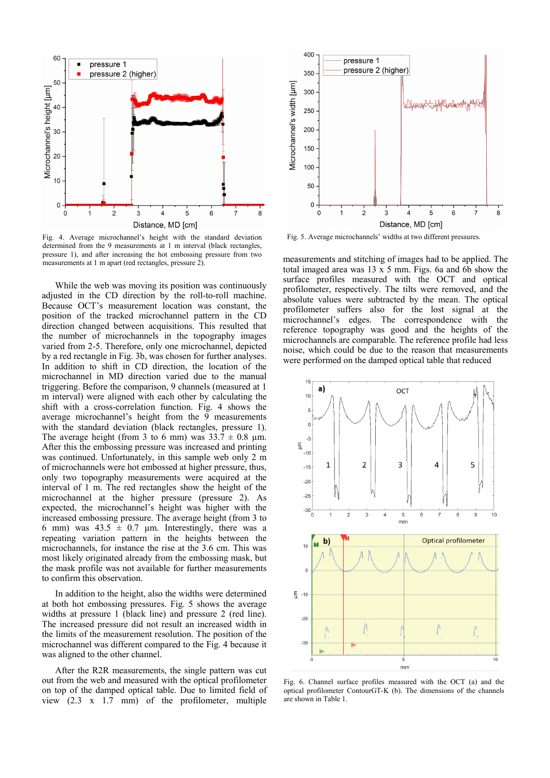

Fig. 4. Average microchannel's height with the standard deviation Fig. 5. Average microchannels' widths at two different pressures. determined from the 9 measurements at 1 m interval (black rectangles, pressure 1), and after increasing the hot embossing pressure from two measurements at 1 m apart (red rectangles, pressure 2).

While the web was moving its position was continuously adjusted in the CD direction by the roll-to-roll machine. Because OCT's measurement location was constant, the position of the tracked microchannel pattern in the CD direction changed between acquisitions. This resulted that the number of microchannels in the topography images varied from 2-5. Therefore, only one microchannel, depicted by a red rectangle in Fig. 3b, was chosen for further analyses. In addition to shift in CD direction, the location of the microchannel in MD direction varied due to the manual triggering. Before the comparison, 9 channels (measured at 1 m interval) were aligned with each other by calculating the shift with a cross-correlation function. Fig. 4 shows the average microchannel's height from the 9 measurements with the standard deviation (black rectangles, pressure 1). The average height (from 3 to 6 mm) was  $33.7 \pm 0.8$  µm. After this the embossing pressure was increased and printing was continued. Unfortunately, in this sample web only 2 m of microchannels were hot embossed at higher pressure, thus, only two topography measurements were acquired at the interval of 1 m. The red rectangles show the height of the microchannel at the higher pressure (pressure 2). As expected, the microchannel's height was higher with the increased embossing pressure. The average height (from 3 to 6 mm) was  $43.5 \pm 0.7$  µm. Interestingly, there was a repeating variation pattern in the heights between the microchannels, for instance the rise at the 3.6 cm. This was most likely originated already from the embossing mask, but the mask profile was not available for further measurements to confirm this observation.

In addition to the height, also the widths were determined at both hot embossing pressures. Fig. 5 shows the average widths at pressure 1 (black line) and pressure 2 (red line). The increased pressure did not result an increased width in the limits of the measurement resolution. The position of the microchannel was different compared to the Fig. 4 because it was aligned to the other channel.

After the R2R measurements, the single pattern was cut out from the web and measured with the optical profilometer on top of the damped optical table. Due to limited field of view (2.3 x 1.7 mm) of the profilometer, multiple



measurements and stitching of images had to be applied. The total imaged area was 13 x 5 mm. Figs. 6a and 6b show the surface profiles measured with the OCT and optical profilometer, respectively. The tilts were removed, and the absolute values were subtracted by the mean. The optical profilometer suffers also for the lost signal at the microchannel's edges. The correspondence with the reference topography was good and the heights of the microchannels are comparable. The reference profile had less noise, which could be due to the reason that measurements were performed on the damped optical table that reduced



Fig. 6. Channel surface profiles measured with the OCT (a) and the optical profilometer ContourGT-K (b). The dimensions of the channels are shown in Table 1.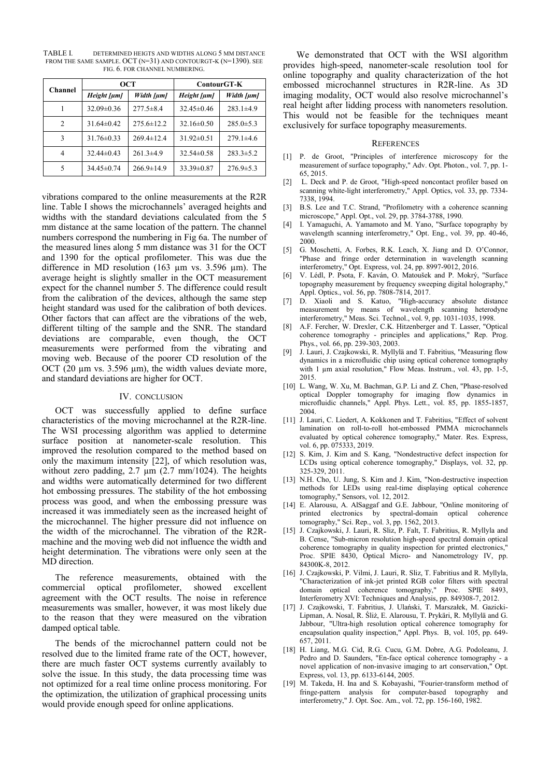TABLE I. DETERMINED HEIGTS AND WIDTHS ALONG 5 MM DISTANCE FROM THE SAME SAMPLE. OCT (N=31) AND CONTOURGT-K (N=1390). SEE FIG. 6. FOR CHANNEL NUMBERING.

| <b>Channel</b> | OCT              |                  | ContourGT-K      |                 |
|----------------|------------------|------------------|------------------|-----------------|
|                | Height [µm]      | Width [µm]       | Height [µm]      | Width [µm]      |
| 1              | $32.09 \pm 0.36$ | $277.5 \pm 8.4$  | $32.45 \pm 0.46$ | $283.1 \pm 4.9$ |
| 2              | $31.64\pm0.42$   | $275.6 \pm 12.2$ | $32.16 \pm 0.50$ | $285.0 \pm 5.3$ |
| 3              | $31.76 \pm 0.33$ | $269.4 \pm 12.4$ | $31.92 \pm 0.51$ | $279.1\pm4.6$   |
| 4              | $32.44\pm0.43$   | $261.3\pm4.9$    | $32.54\pm0.58$   | $283.3 \pm 5.2$ |
| 5              | $34.45 \pm 0.74$ | $266.9 \pm 14.9$ | $33.39 \pm 0.87$ | $276.9 \pm 5.3$ |

vibrations compared to the online measurements at the R2R line. Table I shows the microchannels' averaged heights and widths with the standard deviations calculated from the 5 mm distance at the same location of the pattern. The channel numbers correspond the numbering in Fig 6a. The number of the measured lines along 5 mm distance was 31 for the OCT and 1390 for the optical profilometer. This was due the difference in MD resolution (163 µm vs. 3.596 µm). The average height is slightly smaller in the OCT measurement expect for the channel number 5. The difference could result from the calibration of the devices, although the same step height standard was used for the calibration of both devices. Other factors that can affect are the vibrations of the web, different tilting of the sample and the SNR. The standard deviations are comparable, even though, the OCT measurements were performed from the vibrating and moving web. Because of the poorer CD resolution of the OCT (20  $\mu$ m vs. 3.596  $\mu$ m), the width values deviate more, and standard deviations are higher for OCT.

# IV. CONCLUSION

OCT was successfully applied to define surface characteristics of the moving microchannel at the R2R-line. The WSI processing algorithm was applied to determine surface position at nanometer-scale resolution. This improved the resolution compared to the method based on only the maximum intensity [22], of which resolution was, without zero padding,  $2.7 \mu m$  ( $2.7 \mu m/1024$ ). The heights and widths were automatically determined for two different hot embossing pressures. The stability of the hot embossing process was good, and when the embossing pressure was increased it was immediately seen as the increased height of the microchannel. The higher pressure did not influence on the width of the microchannel. The vibration of the R2Rmachine and the moving web did not influence the width and height determination. The vibrations were only seen at the MD direction.

The reference measurements, obtained with the commercial optical profilometer, showed excellent agreement with the OCT results. The noise in reference measurements was smaller, however, it was most likely due to the reason that they were measured on the vibration damped optical table.

The bends of the microchannel pattern could not be resolved due to the limited frame rate of the OCT, however, there are much faster OCT systems currently availably to solve the issue. In this study, the data processing time was not optimized for a real time online process monitoring. For the optimization, the utilization of graphical processing units would provide enough speed for online applications.

We demonstrated that OCT with the WSI algorithm provides high-speed, nanometer-scale resolution tool for online topography and quality characterization of the hot embossed microchannel structures in R2R-line. As 3D imaging modality, OCT would also resolve microchannel's real height after lidding process with nanometers resolution. This would not be feasible for the techniques meant exclusively for surface topography measurements.

#### **REFERENCES**

- [1] P. de Groot, "Principles of interference microscopy for the measurement of surface topography," Adv. Opt. Photon., vol. 7, pp. 1- 65, 2015.
- [2] L. Deck and P. de Groot, "High-speed noncontact profiler based on scanning white-light interferometry," Appl. Optics, vol. 33, pp. 7334- 7338, 1994.
- [3] B.S. Lee and T.C. Strand, "Profilometry with a coherence scanning microscope," Appl. Opt., vol. 29, pp. 3784-3788, 1990.
- [4] I. Yamaguchi, A. Yamamoto and M. Yano, "Surface topography by wavelength scanning interferometry," Opt. Eng., vol. 39, pp. 40-46, 2000.
- [5] G. Moschetti, A. Forbes, R.K. Leach, X. Jiang and D. O'Connor, "Phase and fringe order determination in wavelength scanning interferometry," Opt. Express, vol. 24, pp. 8997-9012, 2016.
- [6] V. Lédl, P. Psota, F. Kaván, O. Matoušek and P. Mokrý, "Surface topography measurement by frequency sweeping digital holography," Appl. Optics., vol. 56, pp. 7808-7814, 2017.
- [7] D. Xiaoli and S. Katuo, "High-accuracy absolute distance measurement by means of wavelength scanning heterodyne interferometry," Meas. Sci. Technol., vol. 9, pp. 1031-1035, 1998.
- [8] A.F. Fercher, W. Drexler, C.K. Hitzenberger and T. Lasser, "Optical coherence tomography - principles and applications," Rep. Prog. Phys., vol. 66, pp. 239-303, 2003.
- J. Lauri, J. Czajkowski, R. Myllylä and T. Fabritius, "Measuring flow dynamics in a microfluidic chip using optical coherence tomography with 1 µm axial resolution," Flow Meas. Instrum., vol. 43, pp. 1-5, 2015.
- [10] L. Wang, W. Xu, M. Bachman, G.P. Li and Z. Chen, "Phase-resolved optical Doppler tomography for imaging flow dynamics in microfluidic channels," Appl. Phys. Lett., vol. 85, pp. 1855-1857, 2004.
- [11] J. Lauri, C. Liedert, A. Kokkonen and T. Fabritius, "Effect of solvent lamination on roll-to-roll hot-embossed PMMA microchannels evaluated by optical coherence tomography," Mater. Res. Express, vol. 6, pp. 075333, 2019.
- [12] S. Kim, J. Kim and S. Kang, "Nondestructive defect inspection for LCDs using optical coherence tomography," Displays, vol. 32, pp. 325-329, 2011.
- [13] N.H. Cho, U. Jung, S. Kim and J. Kim, "Non-destructive inspection methods for LEDs using real-time displaying optical coherence tomography," Sensors, vol. 12, 2012.
- [14] E. Alarousu, A. AlSaggaf and G.E. Jabbour, "Online monitoring of printed electronics by spectral-domain tomography," Sci. Rep., vol. 3, pp. 1562, 2013.
- [15] J. Czajkowski, J. Lauri, R. Sliz, P. Falt, T. Fabritius, R. Myllyla and B. Cense, "Sub-micron resolution high-speed spectral domain optical coherence tomography in quality inspection for printed electronics," Proc. SPIE 8430, Optical Micro- and Nanometrology IV, pp. 84300K-8, 2012.
- [16] J. Czajkowski, P. Vilmi, J. Lauri, R. Sliz, T. Fabritius and R. Myllyla, "Characterization of ink-jet printed RGB color filters with spectral domain optical coherence tomography," Proc. SPIE 8493, Interferometry XVI: Techniques and Analysis, pp. 849308-7, 2012.
- [17] J. Czajkowski, T. Fabritius, J. Ulański, T. Marszałek, M. Gazicki-Lipman, A. Nosal, R. Śliż, E. Alarousu, T. Prykäri, R. Myllylä and G. Jabbour, "Ultra-high resolution optical coherence tomography for encapsulation quality inspection," Appl. Phys. B, vol. 105, pp. 649- 657, 2011.
- [18] H. Liang, M.G. Cid, R.G. Cucu, G.M. Dobre, A.G. Podoleanu, J. Pedro and D. Saunders, "En-face optical coherence tomography - a novel application of non-invasive imaging to art conservation," Opt. Express, vol. 13, pp. 6133-6144, 2005.
- [19] M. Takeda, H. Ina and S. Kobayashi, "Fourier-transform method of fringe-pattern analysis for computer-based topography and interferometry," J. Opt. Soc. Am., vol. 72, pp. 156-160, 1982.